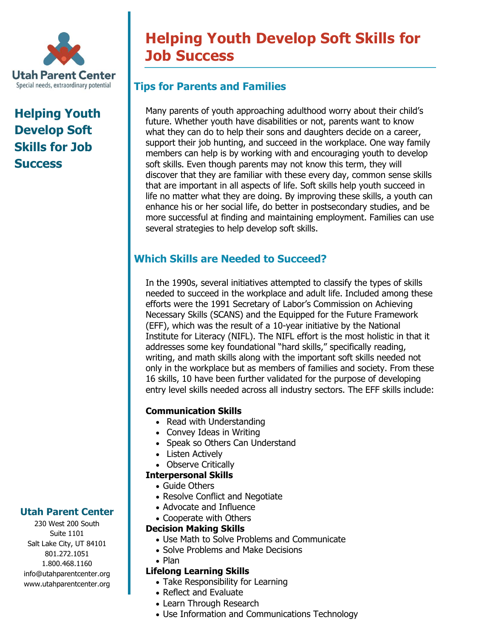

# **Helping Youth Develop Soft Skills for Job Success**

## **Utah Parent Center**

230 West 200 South Suite 1101 Salt Lake City, UT 84101 801.272.1051 1.800.468.1160 info@utahparentcenter.org www.utahparentcenter.org

# **Helping Youth Develop Soft Skills for Job Success**

## **Tips for Parents and Families**

Many parents of youth approaching adulthood worry about their child's future. Whether youth have disabilities or not, parents want to know what they can do to help their sons and daughters decide on a career, support their job hunting, and succeed in the workplace. One way family members can help is by working with and encouraging youth to develop soft skills. Even though parents may not know this term, they will discover that they are familiar with these every day, common sense skills that are important in all aspects of life. Soft skills help youth succeed in life no matter what they are doing. By improving these skills, a youth can enhance his or her social life, do better in postsecondary studies, and be more successful at finding and maintaining employment. Families can use several strategies to help develop soft skills.

### **Which Skills are Needed to Succeed?**

In the 1990s, several initiatives attempted to classify the types of skills needed to succeed in the workplace and adult life. Included among these efforts were the 1991 Secretary of Labor's Commission on Achieving Necessary Skills (SCANS) and the Equipped for the Future Framework (EFF), which was the result of a 10-year initiative by the National Institute for Literacy (NIFL). The NIFL effort is the most holistic in that it addresses some key foundational "hard skills," specifically reading, writing, and math skills along with the important soft skills needed not only in the workplace but as members of families and society. From these 16 skills, 10 have been further validated for the purpose of developing entry level skills needed across all industry sectors. The EFF skills include:

#### **Communication Skills**

- Read with Understanding
- Convey Ideas in Writing
- Speak so Others Can Understand
- Listen Actively

#### • Observe Critically

- **Interpersonal Skills**
	- Guide Others
	- Resolve Conflict and Negotiate
	- Advocate and Influence
	- Cooperate with Others

#### **Decision Making Skills**

- Use Math to Solve Problems and Communicate
- Solve Problems and Make Decisions
- Plan

#### **Lifelong Learning Skills**

- Take Responsibility for Learning
- Reflect and Evaluate
- Learn Through Research
- Use Information and Communications Technology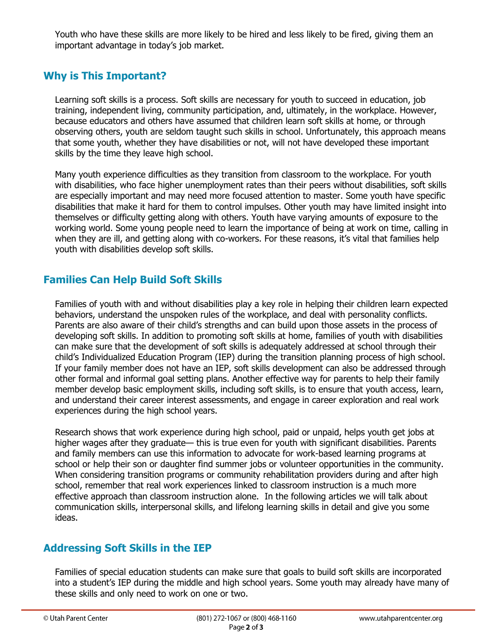Youth who have these skills are more likely to be hired and less likely to be fired, giving them an important advantage in today's job market.

## **Why is This Important?**

Learning soft skills is a process. Soft skills are necessary for youth to succeed in education, job training, independent living, community participation, and, ultimately, in the workplace. However, because educators and others have assumed that children learn soft skills at home, or through observing others, youth are seldom taught such skills in school. Unfortunately, this approach means that some youth, whether they have disabilities or not, will not have developed these important skills by the time they leave high school.

Many youth experience difficulties as they transition from classroom to the workplace. For youth with disabilities, who face higher unemployment rates than their peers without disabilities, soft skills are especially important and may need more focused attention to master. Some youth have specific disabilities that make it hard for them to control impulses. Other youth may have limited insight into themselves or difficulty getting along with others. Youth have varying amounts of exposure to the working world. Some young people need to learn the importance of being at work on time, calling in when they are ill, and getting along with co-workers. For these reasons, it's vital that families help youth with disabilities develop soft skills.

## **Families Can Help Build Soft Skills**

Families of youth with and without disabilities play a key role in helping their children learn expected behaviors, understand the unspoken rules of the workplace, and deal with personality conflicts. Parents are also aware of their child's strengths and can build upon those assets in the process of developing soft skills. In addition to promoting soft skills at home, families of youth with disabilities can make sure that the development of soft skills is adequately addressed at school through their child's Individualized Education Program (IEP) during the transition planning process of high school. If your family member does not have an IEP, soft skills development can also be addressed through other formal and informal goal setting plans. Another effective way for parents to help their family member develop basic employment skills, including soft skills, is to ensure that youth access, learn, and understand their career interest assessments, and engage in career exploration and real work experiences during the high school years.

Research shows that work experience during high school, paid or unpaid, helps youth get jobs at higher wages after they graduate— this is true even for youth with significant disabilities. Parents and family members can use this information to advocate for work-based learning programs at school or help their son or daughter find summer jobs or volunteer opportunities in the community. When considering transition programs or community rehabilitation providers during and after high school, remember that real work experiences linked to classroom instruction is a much more effective approach than classroom instruction alone. In the following articles we will talk about communication skills, interpersonal skills, and lifelong learning skills in detail and give you some ideas.

## **Addressing Soft Skills in the IEP**

Families of special education students can make sure that goals to build soft skills are incorporated into a student's IEP during the middle and high school years. Some youth may already have many of these skills and only need to work on one or two.